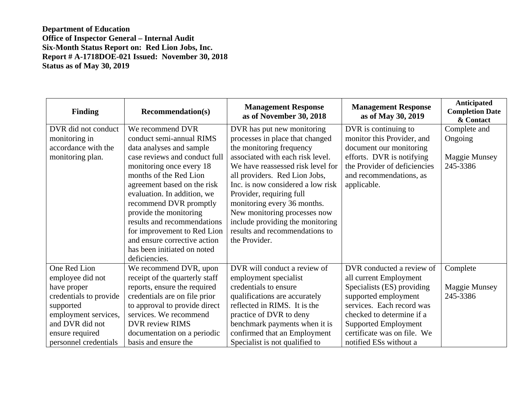**Department of Education Office of Inspector General – Internal Audit Six-Month Status Report on: Red Lion Jobs, Inc. Report # A-1718DOE-021 Issued: November 30, 2018 Status as of May 30, 2019** 

| <b>Finding</b>         | <b>Recommendation(s)</b>       | <b>Management Response</b><br>as of November 30, 2018 | <b>Management Response</b><br>as of May 30, 2019 | <b>Anticipated</b><br><b>Completion Date</b><br>& Contact |
|------------------------|--------------------------------|-------------------------------------------------------|--------------------------------------------------|-----------------------------------------------------------|
| DVR did not conduct    | We recommend DVR               | DVR has put new monitoring                            | DVR is continuing to                             | Complete and                                              |
| monitoring in          | conduct semi-annual RIMS       | processes in place that changed                       | monitor this Provider, and                       | Ongoing                                                   |
| accordance with the    | data analyses and sample       | the monitoring frequency                              | document our monitoring                          |                                                           |
| monitoring plan.       | case reviews and conduct full  | associated with each risk level.                      | efforts. DVR is notifying                        | <b>Maggie Munsey</b>                                      |
|                        | monitoring once every 18       | We have reassessed risk level for                     | the Provider of deficiencies                     | 245-3386                                                  |
|                        | months of the Red Lion         | all providers. Red Lion Jobs,                         | and recommendations, as                          |                                                           |
|                        | agreement based on the risk    | Inc. is now considered a low risk                     | applicable.                                      |                                                           |
|                        | evaluation. In addition, we    | Provider, requiring full                              |                                                  |                                                           |
|                        | recommend DVR promptly         | monitoring every 36 months.                           |                                                  |                                                           |
|                        | provide the monitoring         | New monitoring processes now                          |                                                  |                                                           |
|                        | results and recommendations    | include providing the monitoring                      |                                                  |                                                           |
|                        | for improvement to Red Lion    | results and recommendations to                        |                                                  |                                                           |
|                        | and ensure corrective action   | the Provider.                                         |                                                  |                                                           |
|                        | has been initiated on noted    |                                                       |                                                  |                                                           |
|                        | deficiencies.                  |                                                       |                                                  |                                                           |
| One Red Lion           | We recommend DVR, upon         | DVR will conduct a review of                          | DVR conducted a review of                        | Complete                                                  |
| employee did not       | receipt of the quarterly staff | employment specialist                                 | all current Employment                           |                                                           |
| have proper            | reports, ensure the required   | credentials to ensure                                 | Specialists (ES) providing                       | Maggie Munsey                                             |
| credentials to provide | credentials are on file prior  | qualifications are accurately                         | supported employment                             | 245-3386                                                  |
| supported              | to approval to provide direct  | reflected in RIMS. It is the                          | services. Each record was                        |                                                           |
| employment services,   | services. We recommend         | practice of DVR to deny                               | checked to determine if a                        |                                                           |
| and DVR did not        | <b>DVR</b> review RIMS         | benchmark payments when it is                         | <b>Supported Employment</b>                      |                                                           |
| ensure required        | documentation on a periodic    | confirmed that an Employment                          | certificate was on file. We                      |                                                           |
| personnel credentials  | basis and ensure the           | Specialist is not qualified to                        | notified ESs without a                           |                                                           |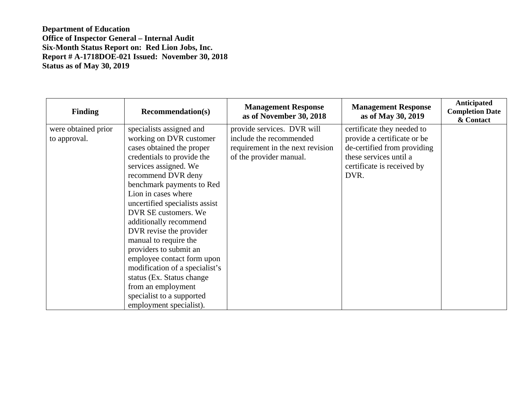**Department of Education Office of Inspector General – Internal Audit Six-Month Status Report on: Red Lion Jobs, Inc. Report # A-1718DOE-021 Issued: November 30, 2018 Status as of May 30, 2019** 

| <b>Finding</b>                      | <b>Recommendation(s)</b>                                                                                                                                                                                                                                                                                                                                                                                                                                                                                                                                        | <b>Management Response</b><br>as of November 30, 2018                                                                | <b>Management Response</b><br>as of May 30, 2019                                                                                                         | Anticipated<br><b>Completion Date</b><br>& Contact |
|-------------------------------------|-----------------------------------------------------------------------------------------------------------------------------------------------------------------------------------------------------------------------------------------------------------------------------------------------------------------------------------------------------------------------------------------------------------------------------------------------------------------------------------------------------------------------------------------------------------------|----------------------------------------------------------------------------------------------------------------------|----------------------------------------------------------------------------------------------------------------------------------------------------------|----------------------------------------------------|
| were obtained prior<br>to approval. | specialists assigned and<br>working on DVR customer<br>cases obtained the proper<br>credentials to provide the<br>services assigned. We<br>recommend DVR deny<br>benchmark payments to Red<br>Lion in cases where<br>uncertified specialists assist<br>DVR SE customers. We<br>additionally recommend<br>DVR revise the provider<br>manual to require the<br>providers to submit an<br>employee contact form upon<br>modification of a specialist's<br>status (Ex. Status change)<br>from an employment<br>specialist to a supported<br>employment specialist). | provide services. DVR will<br>include the recommended<br>requirement in the next revision<br>of the provider manual. | certificate they needed to<br>provide a certificate or be<br>de-certified from providing<br>these services until a<br>certificate is received by<br>DVR. |                                                    |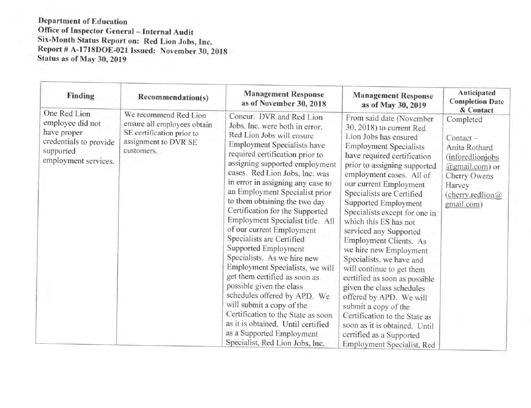**Department of Education** Office of Inspector General - Internal Audit Six-Month Status Report on: Red Lion Jobs, Inc.<br>Report # A-1718DOE-021 Issued: November 30, 2018 Status as of May 30, 2019

| Finding                                                                                                        | Recommendation(s)                                                                                                       | <b>Management Response</b><br>as of November 30, 2018                                                                                                                                                                                                                                                                                                                                                                                                                                                                                                                                                                                                                                                                                                                                                                                  | <b>Management Response</b><br>as of May 30, 2019                                                                                                                                                                                                                                                                                                                                                                                                                                                                                                                                                                                                                                                                                       | Anticipated<br><b>Completion Date</b><br>& Contact                                                                                                        |
|----------------------------------------------------------------------------------------------------------------|-------------------------------------------------------------------------------------------------------------------------|----------------------------------------------------------------------------------------------------------------------------------------------------------------------------------------------------------------------------------------------------------------------------------------------------------------------------------------------------------------------------------------------------------------------------------------------------------------------------------------------------------------------------------------------------------------------------------------------------------------------------------------------------------------------------------------------------------------------------------------------------------------------------------------------------------------------------------------|----------------------------------------------------------------------------------------------------------------------------------------------------------------------------------------------------------------------------------------------------------------------------------------------------------------------------------------------------------------------------------------------------------------------------------------------------------------------------------------------------------------------------------------------------------------------------------------------------------------------------------------------------------------------------------------------------------------------------------------|-----------------------------------------------------------------------------------------------------------------------------------------------------------|
| One Red Lion<br>employee did not<br>have proper<br>credentials to provide<br>supported<br>employment services. | We recommend Red Lion<br>ensure all employees obtain<br>SE certification prior to<br>assignment to DVR SE<br>customers. | Concur. DVR and Red Lion<br>Jobs, Inc. were both in error.<br>Red Lion Jobs will ensure<br>Employment Specialists have<br>required certification prior to<br>assigning supported employment<br>cases. Red Lion Jobs, Inc. was<br>in error in assigning any case to<br>an Employment Specialist prior<br>to them obtaining the two day<br>Certification for the Supported<br>Employment Specialist title. All<br>of our current Employment<br>Specialists are Certified<br>Supported Employment<br>Specialists. As we hire new<br>Employment Specialists, we will<br>get them certified as soon as<br>possible given the class<br>schedules offered by APD. We<br>will submit a copy of the<br>Certification to the State as soon<br>as it is obtained. Until certified<br>as a Supported Employment<br>Specialist, Red Lion Jobs, Inc. | From said date (November<br>30, 2018) to current Red<br>Lion Jobs has ensured<br><b>Employment Specialists</b><br>have required certification<br>prior to assigning supported<br>employment cases. All of<br>our current Employment<br>Specialists are Certified<br>Supported Employment<br>Specialists except for one in<br>which this ES has not<br>serviced any Supported<br>Employment Clients. As<br>we hire new Employment<br>Specialists, we have and<br>will continue to get them<br>certified as soon as possible<br>given the class schedules<br>offered by APD. We will<br>submit a copy of the<br>Certification to the State as<br>soon as it is obtained. Until<br>certified as a Supported<br>Employment Specialist, Red | Completed<br>$Content -$<br>Anita Rothard<br><i>(inforedlionjobs)</i><br>@gmail.com) or<br>Cherry Owens<br>Harvey<br>$($ cherry.redlion $@$<br>gmail.com) |